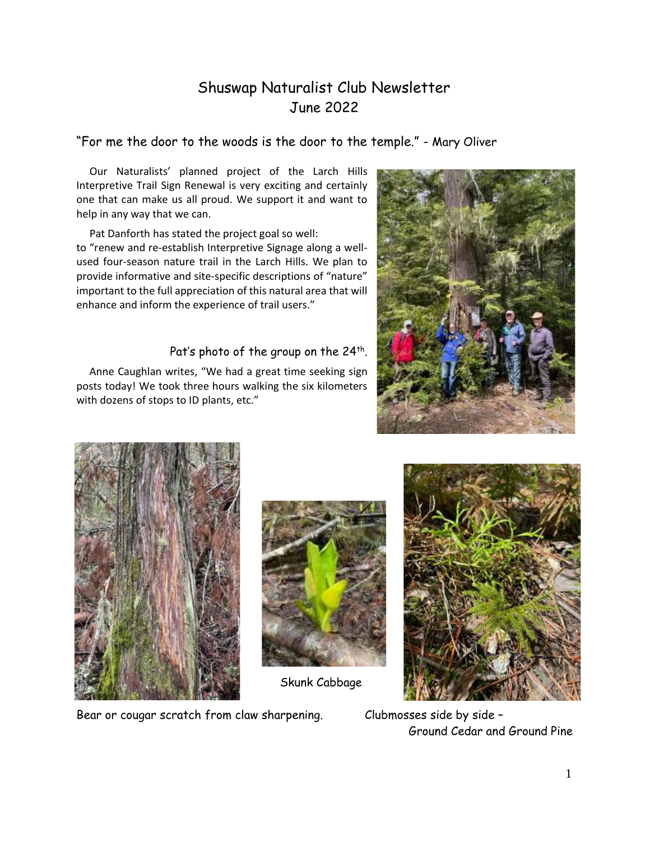# Shuswap Naturalist Club Newsletter June 2022

"For me the door to the woods is the door to the temple." - Mary Oliver

Our Naturalists' planned project of the Larch Hills Interpretive Trail Sign Renewal is very exciting and certainly one that can make us all proud. We support it and want to help in any way that we can.

 Pat Danforth has stated the project goal so well: to "renew and re-establish Interpretive Signage along a wellused four-season nature trail in the Larch Hills. We plan to provide informative and site-specific descriptions of "nature" important to the full appreciation of this natural area that will enhance and inform the experience of trail users."

#### Pat's photo of the group on the 24th.  $\,$

Anne Caughlan writes, "We had a great time seeking sign posts today! We took three hours walking the six kilometers with dozens of stops to ID plants, etc."







Skunk Cabbage



Bear or cougar scratch from claw sharpening. Clubmosses side by side -

Ground Cedar and Ground Pine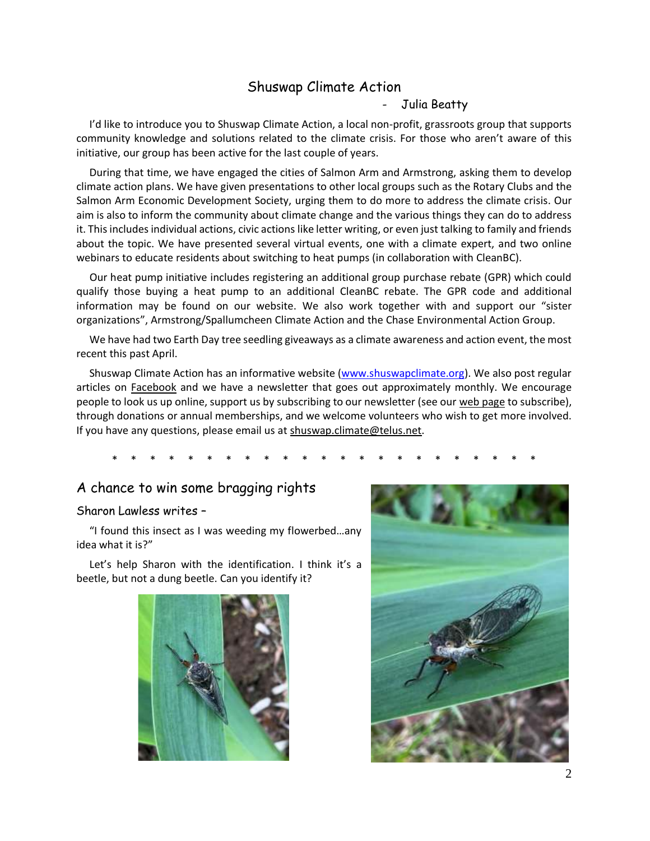## Shuswap Climate Action

#### - Julia Beatty

I'd like to introduce you to Shuswap Climate Action, a local non-profit, grassroots group that supports community knowledge and solutions related to the climate crisis. For those who aren't aware of this initiative, our group has been active for the last couple of years.

 During that time, we have engaged the cities of Salmon Arm and Armstrong, asking them to develop climate action plans. We have given presentations to other local groups such as the Rotary Clubs and the Salmon Arm Economic Development Society, urging them to do more to address the climate crisis. Our aim is also to inform the community about climate change and the various things they can do to address it. This includes individual actions, civic actions like letter writing, or even just talking to family and friends about the topic. We have presented several virtual events, one with a climate expert, and two online webinars to educate residents about switching to heat pumps (in collaboration with CleanBC).

 Our heat pump initiative includes registering an additional group purchase rebate (GPR) which could qualify those buying a heat pump to an additional CleanBC rebate. The GPR code and additional information may be found on our website. We also work together with and support our "sister organizations", Armstrong/Spallumcheen Climate Action and the Chase Environmental Action Group.

 We have had two Earth Day tree seedling giveaways as a climate awareness and action event, the most recent this past April.

 Shuswap Climate Action has an informative website [\(www.shuswapclimate.org\)](http://www.shuswapclimate.org/). We also post regular articles on [Facebook](https://www.facebook.com/shuswapclimateaction) and we have a newsletter that goes out approximately monthly. We encourage people to look us up online, support us by subscribing to our newsletter (see ou[r web page](https://www.shuswapclimate.org/climate-news-newsletters) to subscribe), through donations or annual memberships, and we welcome volunteers who wish to get more involved. If you have any questions, please email us at [shuswap.climate@telus.net.](mailto:shuswap.climate@telus.net)

\* \* \* \* \* \* \* \* \* \* \* \* \* \* \* \* \* \* \* \* \* \* \*

### A chance to win some bragging rights

#### Sharon Lawless writes –

"I found this insect as I was weeding my flowerbed...any idea what it is?"

Let's help Sharon with the identification. I think it's a beetle, but not a dung beetle. Can you identify it?



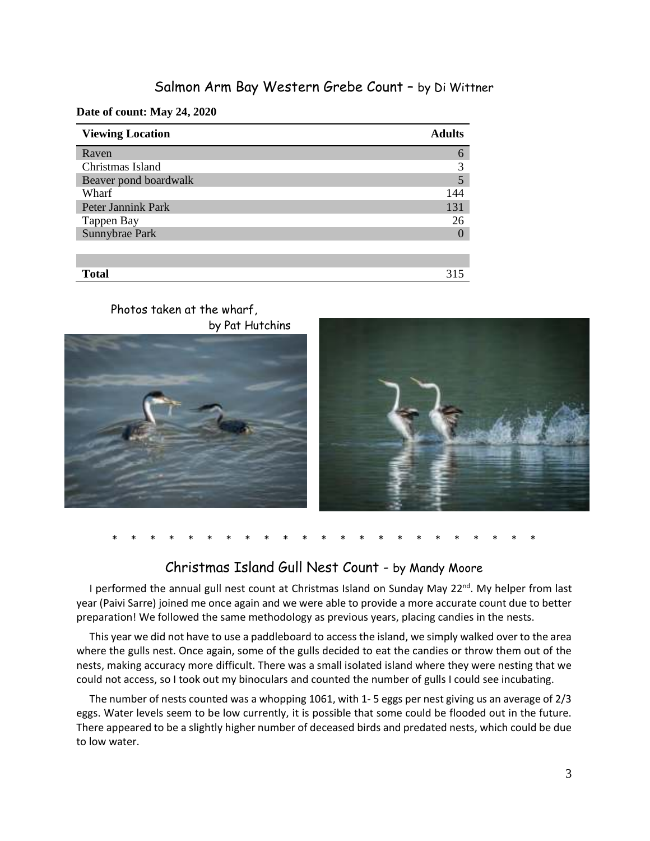### Salmon Arm Bay Western Grebe Count – by Di Wittner

**Date of count: May 24, 2020** 

| <b>Viewing Location</b> | <b>Adults</b> |
|-------------------------|---------------|
| Raven                   | 6             |
| Christmas Island        | 3             |
| Beaver pond boardwalk   |               |
| Wharf                   | 144           |
| Peter Jannink Park      | 131           |
| Tappen Bay              | 26            |
| Sunnybrae Park          | $\left($      |
|                         |               |
|                         |               |
| <b>Total</b>            | 315           |

#### Photos taken at the wharf, by Pat Hutchins





```
* * * * * * * * * * * * * * * * * * * * * * *
```
### Christmas Island Gull Nest Count - by Mandy Moore

I performed the annual gull nest count at Christmas Island on Sunday May 22<sup>nd</sup>. My helper from last year (Paivi Sarre) joined me once again and we were able to provide a more accurate count due to better preparation! We followed the same methodology as previous years, placing candies in the nests.

 This year we did not have to use a paddleboard to access the island, we simply walked over to the area where the gulls nest. Once again, some of the gulls decided to eat the candies or throw them out of the nests, making accuracy more difficult. There was a small isolated island where they were nesting that we could not access, so I took out my binoculars and counted the number of gulls I could see incubating.

 The number of nests counted was a whopping 1061, with 1- 5 eggs per nest giving us an average of 2/3 eggs. Water levels seem to be low currently, it is possible that some could be flooded out in the future. There appeared to be a slightly higher number of deceased birds and predated nests, which could be due to low water.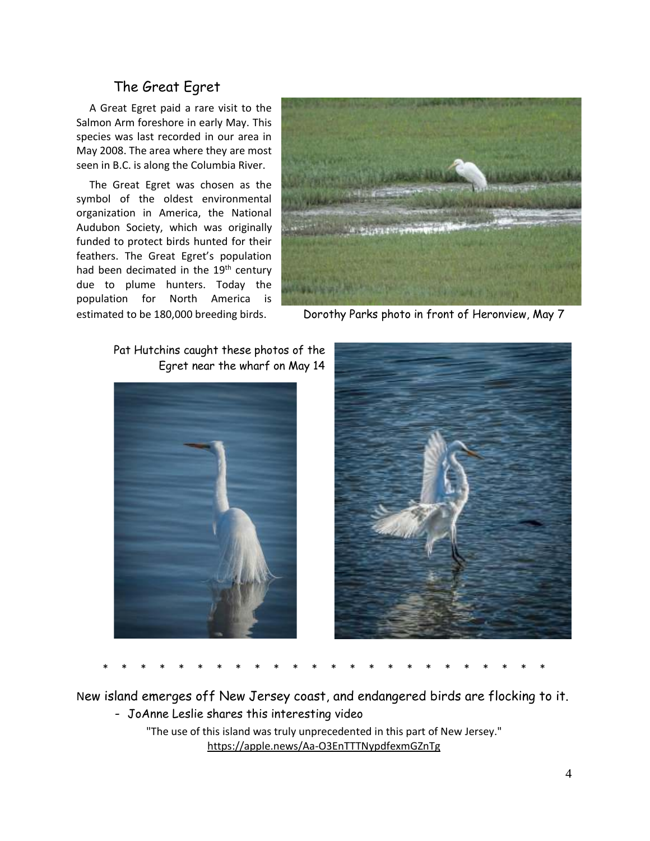## The Great Egret

 A Great Egret paid a rare visit to the Salmon Arm foreshore in early May. This species was last recorded in our area in May 2008. The area where they are most seen in B.C. is along the Columbia River.

 The Great Egret was chosen as the symbol of the oldest environmental organization in America, the National Audubon Society, which was originally funded to protect birds hunted for their feathers. The Great Egret's population had been decimated in the 19<sup>th</sup> century due to plume hunters. Today the population for North America is



estimated to be 180,000 breeding birds. Dorothy Parks photo in front of Heronview, May 7

Pat Hutchins caught these photos of the Egret near the wharf on May 14





\* \* \* \* \* \* \* \* \* \* \* \* \* \* \* \* \* \* \* \* \* \* \* \*

New island emerges off New Jersey coast, and endangered birds are flocking to it.

- JoAnne Leslie shares this interesting video

"The use of this island was truly unprecedented in this part of New Jersey." <https://apple.news/Aa-O3EnTTTNypdfexmGZnTg>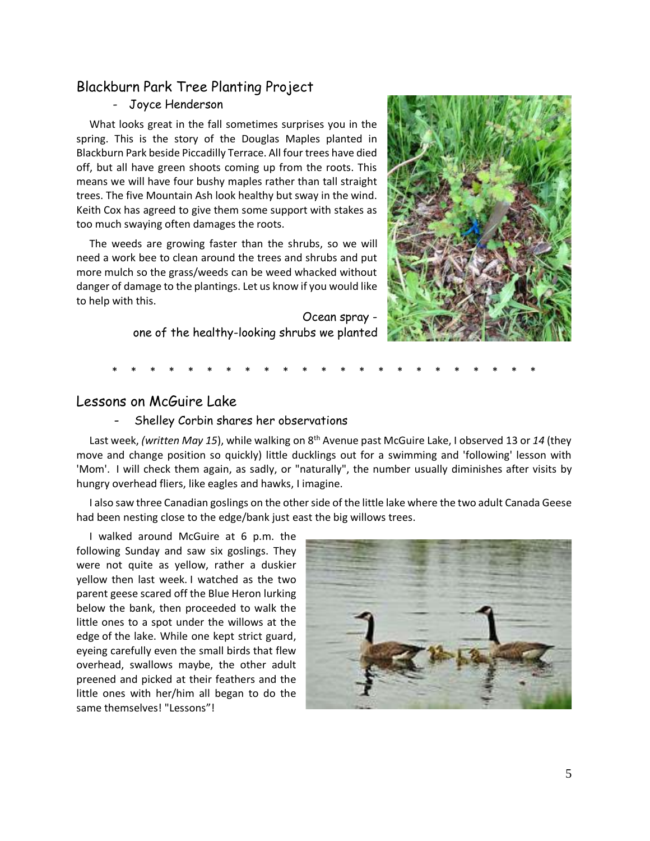## Blackburn Park Tree Planting Project

#### - Joyce Henderson

 What looks great in the fall sometimes surprises you in the spring. This is the story of the Douglas Maples planted in Blackburn Park beside Piccadilly Terrace. All four trees have died off, but all have green shoots coming up from the roots. This means we will have four bushy maples rather than tall straight trees. The five Mountain Ash look healthy but sway in the wind. Keith Cox has agreed to give them some support with stakes as too much swaying often damages the roots.

 The weeds are growing faster than the shrubs, so we will need a work bee to clean around the trees and shrubs and put more mulch so the grass/weeds can be weed whacked without danger of damage to the plantings. Let us know if you would like to help with this.

> Ocean spray one of the healthy-looking shrubs we planted



#### \* \* \* \* \* \* \* \* \* \* \* \* \* \* \* \* \* \* \* \* \* \* \*

#### Lessons on McGuire Lake

- Shelley Corbin shares her observations

Last week, *(written May 15)*, while walking on 8<sup>th</sup> Avenue past McGuire Lake, I observed 13 or 14 (they move and change position so quickly) little ducklings out for a swimming and 'following' lesson with 'Mom'. I will check them again, as sadly, or "naturally", the number usually diminishes after visits by hungry overhead fliers, like eagles and hawks, I imagine.

 I also saw three Canadian goslings on the other side of the little lake where the two adult Canada Geese had been nesting close to the edge/bank just east the big willows trees.

 I walked around McGuire at 6 p.m. the following Sunday and saw six goslings. They were not quite as yellow, rather a duskier yellow then last week. I watched as the two parent geese scared off the Blue Heron lurking below the bank, then proceeded to walk the little ones to a spot under the willows at the edge of the lake. While one kept strict guard, eyeing carefully even the small birds that flew overhead, swallows maybe, the other adult preened and picked at their feathers and the little ones with her/him all began to do the same themselves! "Lessons"!

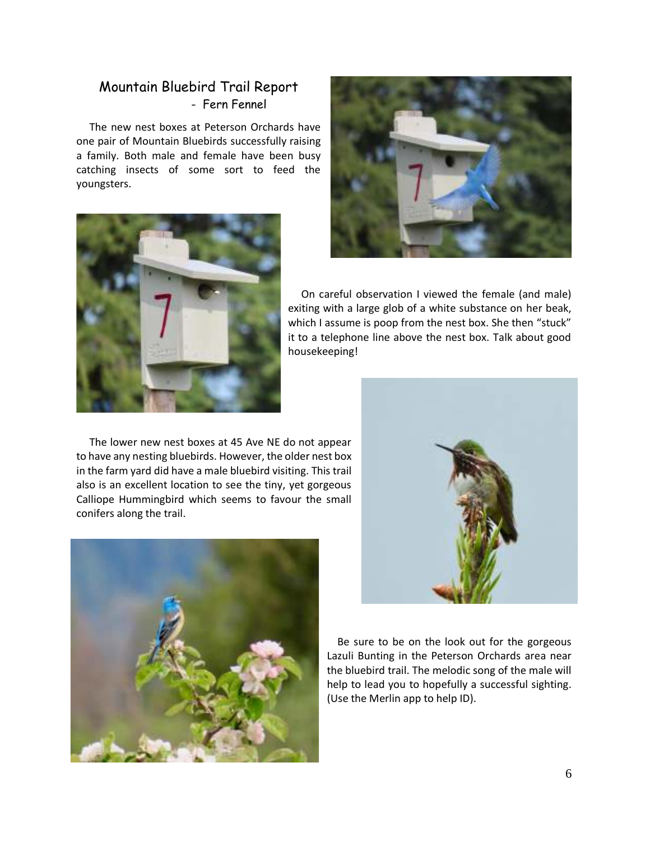### Mountain Bluebird Trail Report - Fern Fennel

 The new nest boxes at Peterson Orchards have one pair of Mountain Bluebirds successfully raising a family. Both male and female have been busy catching insects of some sort to feed the youngsters.





 On careful observation I viewed the female (and male) exiting with a large glob of a white substance on her beak, which I assume is poop from the nest box. She then "stuck" it to a telephone line above the nest box. Talk about good housekeeping!

 The lower new nest boxes at 45 Ave NE do not appear to have any nesting bluebirds. However, the older nest box in the farm yard did have a male bluebird visiting. This trail also is an excellent location to see the tiny, yet gorgeous Calliope Hummingbird which seems to favour the small conifers along the trail.





 Be sure to be on the look out for the gorgeous Lazuli Bunting in the Peterson Orchards area near the bluebird trail. The melodic song of the male will help to lead you to hopefully a successful sighting. (Use the Merlin app to help ID).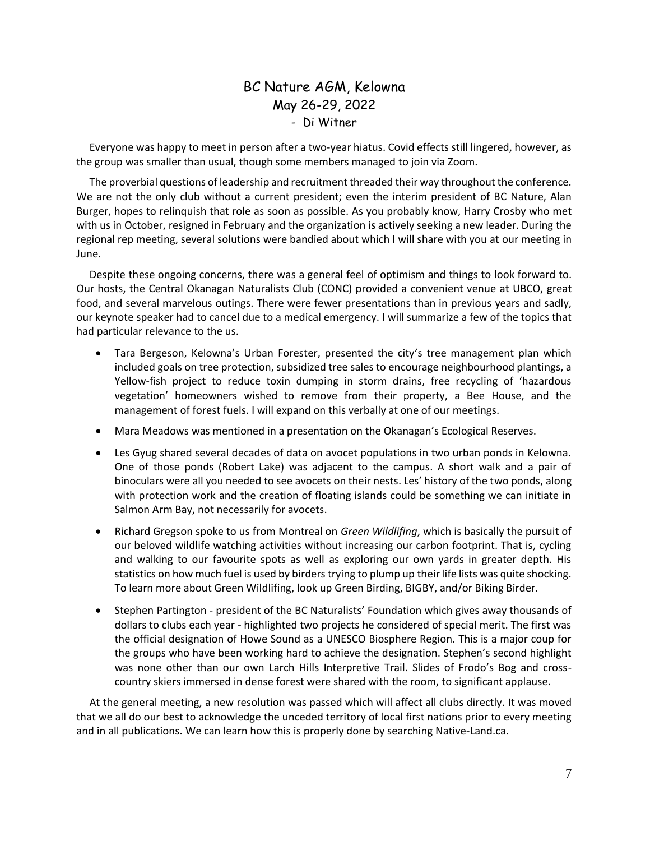## BC Nature AGM, Kelowna May 26-29, 2022 - Di Witner

 Everyone was happy to meet in person after a two-year hiatus. Covid effects still lingered, however, as the group was smaller than usual, though some members managed to join via Zoom.

 The proverbial questions of leadership and recruitment threaded their way throughout the conference. We are not the only club without a current president; even the interim president of BC Nature, Alan Burger, hopes to relinquish that role as soon as possible. As you probably know, Harry Crosby who met with us in October, resigned in February and the organization is actively seeking a new leader. During the regional rep meeting, several solutions were bandied about which I will share with you at our meeting in June.

 Despite these ongoing concerns, there was a general feel of optimism and things to look forward to. Our hosts, the Central Okanagan Naturalists Club (CONC) provided a convenient venue at UBCO, great food, and several marvelous outings. There were fewer presentations than in previous years and sadly, our keynote speaker had to cancel due to a medical emergency. I will summarize a few of the topics that had particular relevance to the us.

- Tara Bergeson, Kelowna's Urban Forester, presented the city's tree management plan which included goals on tree protection, subsidized tree sales to encourage neighbourhood plantings, a Yellow-fish project to reduce toxin dumping in storm drains, free recycling of 'hazardous vegetation' homeowners wished to remove from their property, a Bee House, and the management of forest fuels. I will expand on this verbally at one of our meetings.
- Mara Meadows was mentioned in a presentation on the Okanagan's Ecological Reserves.
- Les Gyug shared several decades of data on avocet populations in two urban ponds in Kelowna. One of those ponds (Robert Lake) was adjacent to the campus. A short walk and a pair of binoculars were all you needed to see avocets on their nests. Les' history of the two ponds, along with protection work and the creation of floating islands could be something we can initiate in Salmon Arm Bay, not necessarily for avocets.
- Richard Gregson spoke to us from Montreal on *Green Wildlifing*, which is basically the pursuit of our beloved wildlife watching activities without increasing our carbon footprint. That is, cycling and walking to our favourite spots as well as exploring our own yards in greater depth. His statistics on how much fuel is used by birders trying to plump up their life lists was quite shocking. To learn more about Green Wildlifing, look up Green Birding, BIGBY, and/or Biking Birder.
- Stephen Partington president of the BC Naturalists' Foundation which gives away thousands of dollars to clubs each year - highlighted two projects he considered of special merit. The first was the official designation of Howe Sound as a UNESCO Biosphere Region. This is a major coup for the groups who have been working hard to achieve the designation. Stephen's second highlight was none other than our own Larch Hills Interpretive Trail. Slides of Frodo's Bog and crosscountry skiers immersed in dense forest were shared with the room, to significant applause.

 At the general meeting, a new resolution was passed which will affect all clubs directly. It was moved that we all do our best to acknowledge the unceded territory of local first nations prior to every meeting and in all publications. We can learn how this is properly done by searching Native-Land.ca.